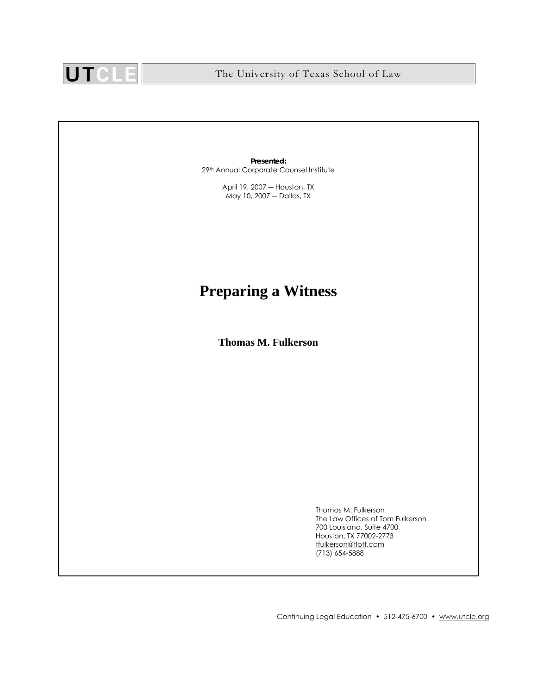

**Presented:** 29th Annual Corporate Counsel Institute

> April 19, 2007 ― Houston, TX May 10, 2007 ― Dallas, TX

## **Preparing a Witness**

**Thomas M. Fulkerson** 

Thomas M. Fulkerson The Law Offices of Tom Fulkerson 700 Louisiana, Suite 4700 Houston, TX 77002-2773 tfulkerson@tlotf.com (713) 654-5888

Continuing Legal Education • 512-475-6700 • www.utcle.org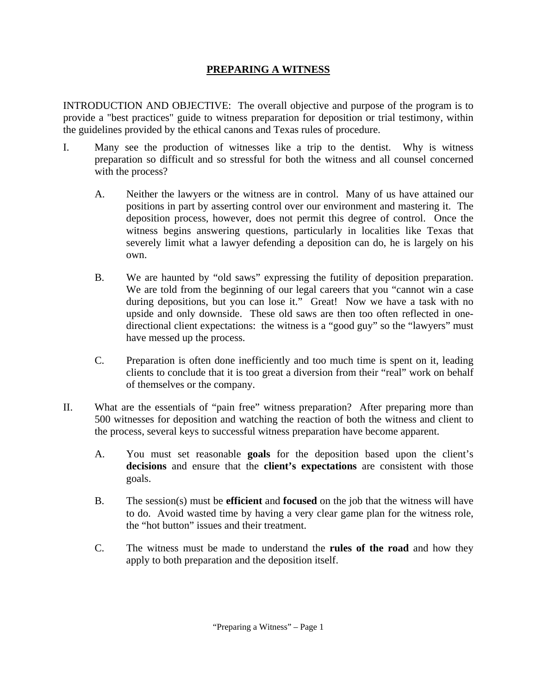## **PREPARING A WITNESS**

INTRODUCTION AND OBJECTIVE: The overall objective and purpose of the program is to provide a "best practices" guide to witness preparation for deposition or trial testimony, within the guidelines provided by the ethical canons and Texas rules of procedure.

- I. Many see the production of witnesses like a trip to the dentist. Why is witness preparation so difficult and so stressful for both the witness and all counsel concerned with the process?
	- A. Neither the lawyers or the witness are in control. Many of us have attained our positions in part by asserting control over our environment and mastering it. The deposition process, however, does not permit this degree of control. Once the witness begins answering questions, particularly in localities like Texas that severely limit what a lawyer defending a deposition can do, he is largely on his own.
	- B. We are haunted by "old saws" expressing the futility of deposition preparation. We are told from the beginning of our legal careers that you "cannot win a case during depositions, but you can lose it." Great! Now we have a task with no upside and only downside. These old saws are then too often reflected in onedirectional client expectations: the witness is a "good guy" so the "lawyers" must have messed up the process.
	- C. Preparation is often done inefficiently and too much time is spent on it, leading clients to conclude that it is too great a diversion from their "real" work on behalf of themselves or the company.
- II. What are the essentials of "pain free" witness preparation? After preparing more than 500 witnesses for deposition and watching the reaction of both the witness and client to the process, several keys to successful witness preparation have become apparent.
	- A. You must set reasonable **goals** for the deposition based upon the client's **decisions** and ensure that the **client's expectations** are consistent with those goals.
	- B. The session(s) must be **efficient** and **focused** on the job that the witness will have to do. Avoid wasted time by having a very clear game plan for the witness role, the "hot button" issues and their treatment.
	- C. The witness must be made to understand the **rules of the road** and how they apply to both preparation and the deposition itself.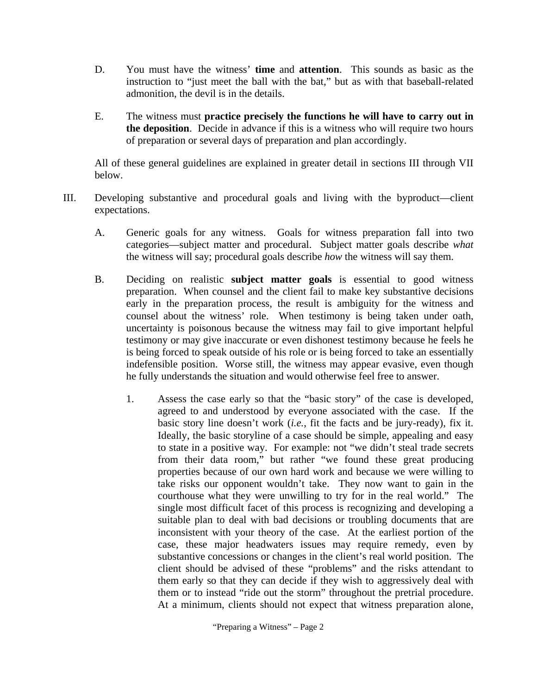- D. You must have the witness' **time** and **attention**. This sounds as basic as the instruction to "just meet the ball with the bat," but as with that baseball-related admonition, the devil is in the details.
- E. The witness must **practice precisely the functions he will have to carry out in the deposition**. Decide in advance if this is a witness who will require two hours of preparation or several days of preparation and plan accordingly.

All of these general guidelines are explained in greater detail in sections III through VII below.

- III. Developing substantive and procedural goals and living with the byproduct—client expectations.
	- A. Generic goals for any witness. Goals for witness preparation fall into two categories—subject matter and procedural. Subject matter goals describe *what*  the witness will say; procedural goals describe *how* the witness will say them.
	- B. Deciding on realistic **subject matter goals** is essential to good witness preparation. When counsel and the client fail to make key substantive decisions early in the preparation process, the result is ambiguity for the witness and counsel about the witness' role. When testimony is being taken under oath, uncertainty is poisonous because the witness may fail to give important helpful testimony or may give inaccurate or even dishonest testimony because he feels he is being forced to speak outside of his role or is being forced to take an essentially indefensible position. Worse still, the witness may appear evasive, even though he fully understands the situation and would otherwise feel free to answer.
		- 1. Assess the case early so that the "basic story" of the case is developed, agreed to and understood by everyone associated with the case. If the basic story line doesn't work (*i.e.*, fit the facts and be jury-ready), fix it. Ideally, the basic storyline of a case should be simple, appealing and easy to state in a positive way. For example: not "we didn't steal trade secrets from their data room," but rather "we found these great producing properties because of our own hard work and because we were willing to take risks our opponent wouldn't take. They now want to gain in the courthouse what they were unwilling to try for in the real world." The single most difficult facet of this process is recognizing and developing a suitable plan to deal with bad decisions or troubling documents that are inconsistent with your theory of the case. At the earliest portion of the case, these major headwaters issues may require remedy, even by substantive concessions or changes in the client's real world position. The client should be advised of these "problems" and the risks attendant to them early so that they can decide if they wish to aggressively deal with them or to instead "ride out the storm" throughout the pretrial procedure. At a minimum, clients should not expect that witness preparation alone,

"Preparing a Witness" – Page 2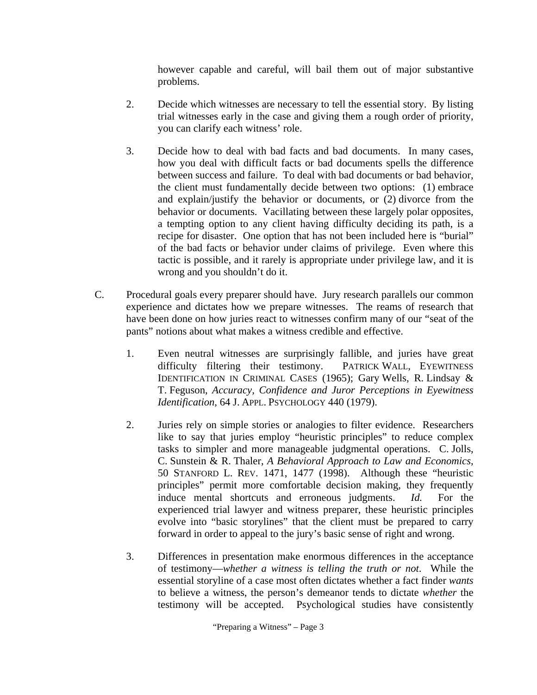however capable and careful, will bail them out of major substantive problems.

- 2. Decide which witnesses are necessary to tell the essential story. By listing trial witnesses early in the case and giving them a rough order of priority, you can clarify each witness' role.
- 3. Decide how to deal with bad facts and bad documents. In many cases, how you deal with difficult facts or bad documents spells the difference between success and failure. To deal with bad documents or bad behavior, the client must fundamentally decide between two options: (1) embrace and explain/justify the behavior or documents, or (2) divorce from the behavior or documents. Vacillating between these largely polar opposites, a tempting option to any client having difficulty deciding its path, is a recipe for disaster. One option that has not been included here is "burial" of the bad facts or behavior under claims of privilege. Even where this tactic is possible, and it rarely is appropriate under privilege law, and it is wrong and you shouldn't do it.
- C. Procedural goals every preparer should have. Jury research parallels our common experience and dictates how we prepare witnesses. The reams of research that have been done on how juries react to witnesses confirm many of our "seat of the pants" notions about what makes a witness credible and effective.
	- 1. Even neutral witnesses are surprisingly fallible, and juries have great difficulty filtering their testimony. PATRICK WALL, EYEWITNESS IDENTIFICATION IN CRIMINAL CASES (1965); Gary Wells, R. Lindsay & T. Feguson, *Accuracy, Confidence and Juror Perceptions in Eyewitness Identification*, 64 J. APPL. PSYCHOLOGY 440 (1979).
	- 2. Juries rely on simple stories or analogies to filter evidence. Researchers like to say that juries employ "heuristic principles" to reduce complex tasks to simpler and more manageable judgmental operations. C. Jolls, C. Sunstein & R. Thaler, *A Behavioral Approach to Law and Economics*, 50 STANFORD L. REV. 1471, 1477 (1998). Although these "heuristic principles" permit more comfortable decision making, they frequently induce mental shortcuts and erroneous judgments. *Id.* For the experienced trial lawyer and witness preparer, these heuristic principles evolve into "basic storylines" that the client must be prepared to carry forward in order to appeal to the jury's basic sense of right and wrong.
	- 3. Differences in presentation make enormous differences in the acceptance of testimony—*whether a witness is telling the truth or not*. While the essential storyline of a case most often dictates whether a fact finder *wants* to believe a witness, the person's demeanor tends to dictate *whether* the testimony will be accepted. Psychological studies have consistently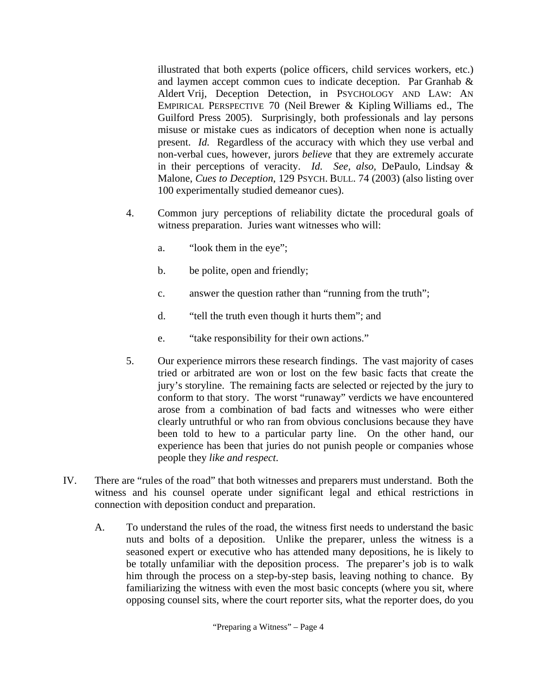illustrated that both experts (police officers, child services workers, etc.) and laymen accept common cues to indicate deception. Par Granhab & Aldert Vrij, Deception Detection, in PSYCHOLOGY AND LAW: AN EMPIRICAL PERSPECTIVE 70 (Neil Brewer & Kipling Williams ed., The Guilford Press 2005). Surprisingly, both professionals and lay persons misuse or mistake cues as indicators of deception when none is actually present. *Id.* Regardless of the accuracy with which they use verbal and non-verbal cues, however, jurors *believe* that they are extremely accurate in their perceptions of veracity. *Id. See, also,* DePaulo, Lindsay & Malone, *Cues to Deception*, 129 PSYCH. BULL. 74 (2003) (also listing over 100 experimentally studied demeanor cues).

- 4. Common jury perceptions of reliability dictate the procedural goals of witness preparation. Juries want witnesses who will:
	- a. "look them in the eye";
	- b. be polite, open and friendly;
	- c. answer the question rather than "running from the truth";
	- d. "tell the truth even though it hurts them"; and
	- e. "take responsibility for their own actions."
- 5. Our experience mirrors these research findings. The vast majority of cases tried or arbitrated are won or lost on the few basic facts that create the jury's storyline. The remaining facts are selected or rejected by the jury to conform to that story. The worst "runaway" verdicts we have encountered arose from a combination of bad facts and witnesses who were either clearly untruthful or who ran from obvious conclusions because they have been told to hew to a particular party line. On the other hand, our experience has been that juries do not punish people or companies whose people they *like and respect*.
- IV. There are "rules of the road" that both witnesses and preparers must understand. Both the witness and his counsel operate under significant legal and ethical restrictions in connection with deposition conduct and preparation.
	- A. To understand the rules of the road, the witness first needs to understand the basic nuts and bolts of a deposition. Unlike the preparer, unless the witness is a seasoned expert or executive who has attended many depositions, he is likely to be totally unfamiliar with the deposition process. The preparer's job is to walk him through the process on a step-by-step basis, leaving nothing to chance. By familiarizing the witness with even the most basic concepts (where you sit, where opposing counsel sits, where the court reporter sits, what the reporter does, do you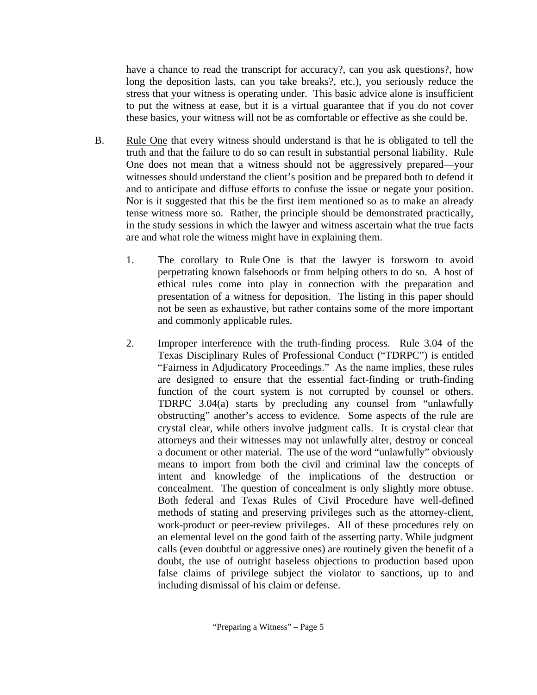have a chance to read the transcript for accuracy?, can you ask questions?, how long the deposition lasts, can you take breaks?, etc.), you seriously reduce the stress that your witness is operating under. This basic advice alone is insufficient to put the witness at ease, but it is a virtual guarantee that if you do not cover these basics, your witness will not be as comfortable or effective as she could be.

- B. Rule One that every witness should understand is that he is obligated to tell the truth and that the failure to do so can result in substantial personal liability. Rule One does not mean that a witness should not be aggressively prepared—your witnesses should understand the client's position and be prepared both to defend it and to anticipate and diffuse efforts to confuse the issue or negate your position. Nor is it suggested that this be the first item mentioned so as to make an already tense witness more so. Rather, the principle should be demonstrated practically, in the study sessions in which the lawyer and witness ascertain what the true facts are and what role the witness might have in explaining them.
	- 1. The corollary to Rule One is that the lawyer is forsworn to avoid perpetrating known falsehoods or from helping others to do so. A host of ethical rules come into play in connection with the preparation and presentation of a witness for deposition. The listing in this paper should not be seen as exhaustive, but rather contains some of the more important and commonly applicable rules.
	- 2. Improper interference with the truth-finding process. Rule 3.04 of the Texas Disciplinary Rules of Professional Conduct ("TDRPC") is entitled "Fairness in Adjudicatory Proceedings." As the name implies, these rules are designed to ensure that the essential fact-finding or truth-finding function of the court system is not corrupted by counsel or others. TDRPC 3.04(a) starts by precluding any counsel from "unlawfully obstructing" another's access to evidence. Some aspects of the rule are crystal clear, while others involve judgment calls. It is crystal clear that attorneys and their witnesses may not unlawfully alter, destroy or conceal a document or other material. The use of the word "unlawfully" obviously means to import from both the civil and criminal law the concepts of intent and knowledge of the implications of the destruction or concealment. The question of concealment is only slightly more obtuse. Both federal and Texas Rules of Civil Procedure have well-defined methods of stating and preserving privileges such as the attorney-client, work-product or peer-review privileges. All of these procedures rely on an elemental level on the good faith of the asserting party. While judgment calls (even doubtful or aggressive ones) are routinely given the benefit of a doubt, the use of outright baseless objections to production based upon false claims of privilege subject the violator to sanctions, up to and including dismissal of his claim or defense.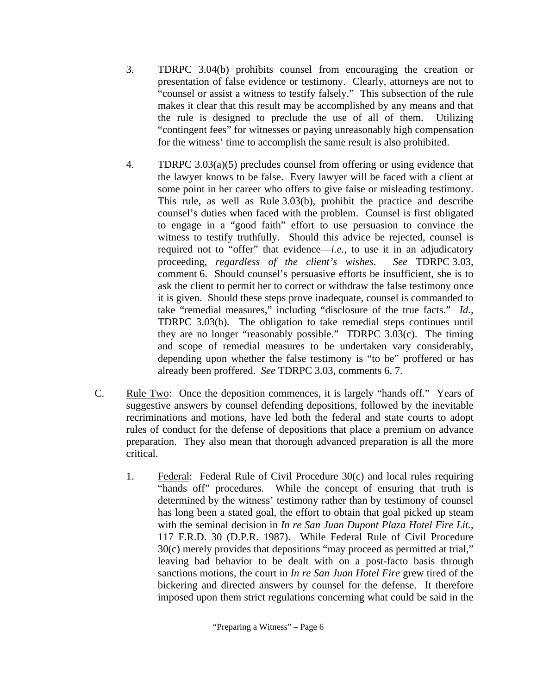- 3. TDRPC 3.04(b) prohibits counsel from encouraging the creation or presentation of false evidence or testimony. Clearly, attorneys are not to "counsel or assist a witness to testify falsely." This subsection of the rule makes it clear that this result may be accomplished by any means and that the rule is designed to preclude the use of all of them. Utilizing "contingent fees" for witnesses or paying unreasonably high compensation for the witness' time to accomplish the same result is also prohibited.
- 4. TDRPC 3.03(a)(5) precludes counsel from offering or using evidence that the lawyer knows to be false. Every lawyer will be faced with a client at some point in her career who offers to give false or misleading testimony. This rule, as well as Rule 3.03(b), prohibit the practice and describe counsel's duties when faced with the problem. Counsel is first obligated to engage in a "good faith" effort to use persuasion to convince the witness to testify truthfully. Should this advice be rejected, counsel is required not to "offer" that evidence—*i.e.*, to use it in an adjudicatory proceeding, *regardless of the client's wishes*. *See* TDRPC 3.03, comment 6. Should counsel's persuasive efforts be insufficient, she is to ask the client to permit her to correct or withdraw the false testimony once it is given. Should these steps prove inadequate, counsel is commanded to take "remedial measures," including "disclosure of the true facts." *Id.,*  TDRPC 3.03(b)*.* The obligation to take remedial steps continues until they are no longer "reasonably possible." TDRPC 3.03(c). The timing and scope of remedial measures to be undertaken vary considerably, depending upon whether the false testimony is "to be" proffered or has already been proffered. *See* TDRPC 3.03, comments 6, 7.
- C. Rule Two: Once the deposition commences, it is largely "hands off." Years of suggestive answers by counsel defending depositions, followed by the inevitable recriminations and motions, have led both the federal and state courts to adopt rules of conduct for the defense of depositions that place a premium on advance preparation. They also mean that thorough advanced preparation is all the more critical.
	- 1. Federal: Federal Rule of Civil Procedure 30(c) and local rules requiring "hands off" procedures. While the concept of ensuring that truth is determined by the witness' testimony rather than by testimony of counsel has long been a stated goal, the effort to obtain that goal picked up steam with the seminal decision in *In re San Juan Dupont Plaza Hotel Fire Lit.*, 117 F.R.D. 30 (D.P.R. 1987). While Federal Rule of Civil Procedure 30(c) merely provides that depositions "may proceed as permitted at trial," leaving bad behavior to be dealt with on a post-facto basis through sanctions motions, the court in *In re San Juan Hotel Fire* grew tired of the bickering and directed answers by counsel for the defense. It therefore imposed upon them strict regulations concerning what could be said in the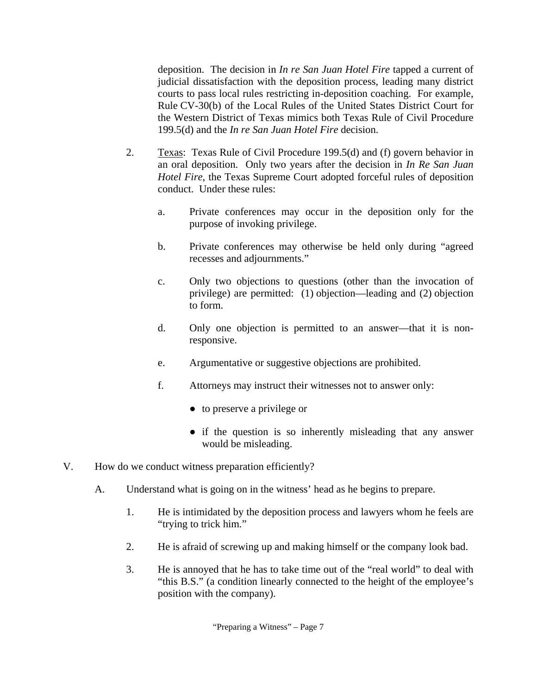deposition. The decision in *In re San Juan Hotel Fire* tapped a current of judicial dissatisfaction with the deposition process, leading many district courts to pass local rules restricting in-deposition coaching. For example, Rule CV-30(b) of the Local Rules of the United States District Court for the Western District of Texas mimics both Texas Rule of Civil Procedure 199.5(d) and the *In re San Juan Hotel Fire* decision.

- 2. Texas: Texas Rule of Civil Procedure 199.5(d) and (f) govern behavior in an oral deposition. Only two years after the decision in *In Re San Juan Hotel Fire*, the Texas Supreme Court adopted forceful rules of deposition conduct. Under these rules:
	- a. Private conferences may occur in the deposition only for the purpose of invoking privilege.
	- b. Private conferences may otherwise be held only during "agreed recesses and adjournments."
	- c. Only two objections to questions (other than the invocation of privilege) are permitted: (1) objection—leading and (2) objection to form.
	- d. Only one objection is permitted to an answer—that it is nonresponsive.
	- e. Argumentative or suggestive objections are prohibited.
	- f. Attorneys may instruct their witnesses not to answer only:
		- to preserve a privilege or
		- if the question is so inherently misleading that any answer would be misleading.
- V. How do we conduct witness preparation efficiently?
	- A. Understand what is going on in the witness' head as he begins to prepare.
		- 1. He is intimidated by the deposition process and lawyers whom he feels are "trying to trick him."
		- 2. He is afraid of screwing up and making himself or the company look bad.
		- 3. He is annoyed that he has to take time out of the "real world" to deal with "this B.S." (a condition linearly connected to the height of the employee's position with the company).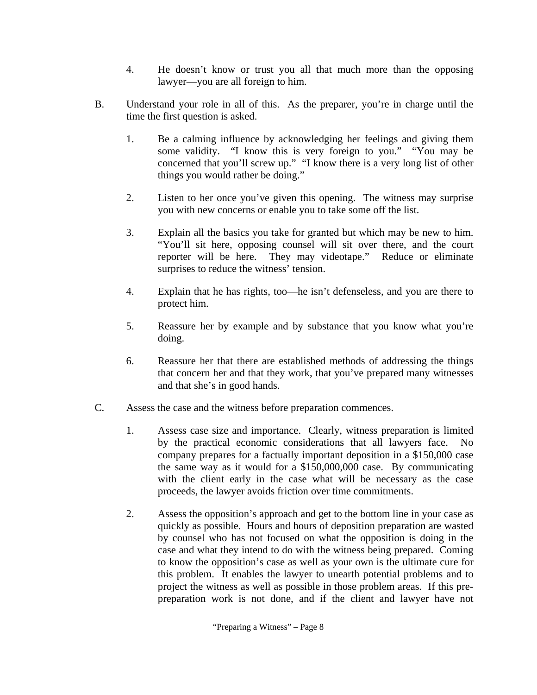- 4. He doesn't know or trust you all that much more than the opposing lawyer—you are all foreign to him.
- B. Understand your role in all of this. As the preparer, you're in charge until the time the first question is asked.
	- 1. Be a calming influence by acknowledging her feelings and giving them some validity. "I know this is very foreign to you." "You may be concerned that you'll screw up." "I know there is a very long list of other things you would rather be doing."
	- 2. Listen to her once you've given this opening. The witness may surprise you with new concerns or enable you to take some off the list.
	- 3. Explain all the basics you take for granted but which may be new to him. "You'll sit here, opposing counsel will sit over there, and the court reporter will be here. They may videotape." Reduce or eliminate surprises to reduce the witness' tension.
	- 4. Explain that he has rights, too—he isn't defenseless, and you are there to protect him.
	- 5. Reassure her by example and by substance that you know what you're doing.
	- 6. Reassure her that there are established methods of addressing the things that concern her and that they work, that you've prepared many witnesses and that she's in good hands.
- C. Assess the case and the witness before preparation commences.
	- 1. Assess case size and importance. Clearly, witness preparation is limited by the practical economic considerations that all lawyers face. No company prepares for a factually important deposition in a \$150,000 case the same way as it would for a \$150,000,000 case. By communicating with the client early in the case what will be necessary as the case proceeds, the lawyer avoids friction over time commitments.
	- 2. Assess the opposition's approach and get to the bottom line in your case as quickly as possible. Hours and hours of deposition preparation are wasted by counsel who has not focused on what the opposition is doing in the case and what they intend to do with the witness being prepared. Coming to know the opposition's case as well as your own is the ultimate cure for this problem. It enables the lawyer to unearth potential problems and to project the witness as well as possible in those problem areas. If this prepreparation work is not done, and if the client and lawyer have not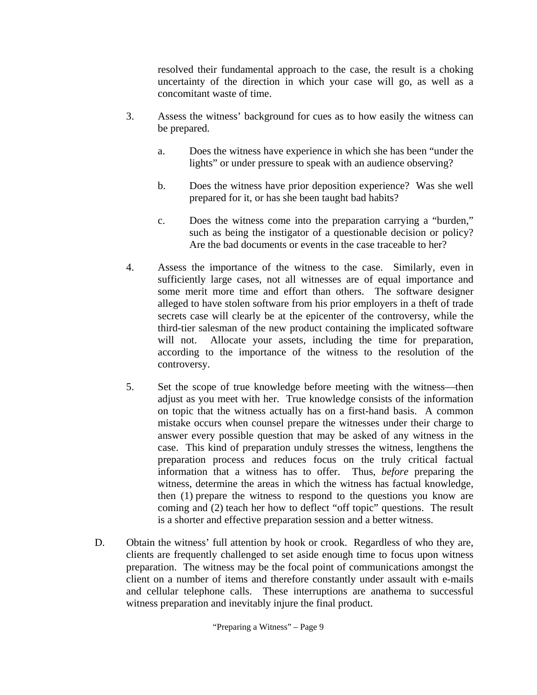resolved their fundamental approach to the case, the result is a choking uncertainty of the direction in which your case will go, as well as a concomitant waste of time.

- 3. Assess the witness' background for cues as to how easily the witness can be prepared.
	- a. Does the witness have experience in which she has been "under the lights" or under pressure to speak with an audience observing?
	- b. Does the witness have prior deposition experience? Was she well prepared for it, or has she been taught bad habits?
	- c. Does the witness come into the preparation carrying a "burden," such as being the instigator of a questionable decision or policy? Are the bad documents or events in the case traceable to her?
- 4. Assess the importance of the witness to the case. Similarly, even in sufficiently large cases, not all witnesses are of equal importance and some merit more time and effort than others. The software designer alleged to have stolen software from his prior employers in a theft of trade secrets case will clearly be at the epicenter of the controversy, while the third-tier salesman of the new product containing the implicated software will not. Allocate your assets, including the time for preparation, according to the importance of the witness to the resolution of the controversy.
- 5. Set the scope of true knowledge before meeting with the witness—then adjust as you meet with her. True knowledge consists of the information on topic that the witness actually has on a first-hand basis. A common mistake occurs when counsel prepare the witnesses under their charge to answer every possible question that may be asked of any witness in the case. This kind of preparation unduly stresses the witness, lengthens the preparation process and reduces focus on the truly critical factual information that a witness has to offer. Thus, *before* preparing the witness, determine the areas in which the witness has factual knowledge, then (1) prepare the witness to respond to the questions you know are coming and (2) teach her how to deflect "off topic" questions. The result is a shorter and effective preparation session and a better witness.
- D. Obtain the witness' full attention by hook or crook. Regardless of who they are, clients are frequently challenged to set aside enough time to focus upon witness preparation. The witness may be the focal point of communications amongst the client on a number of items and therefore constantly under assault with e-mails and cellular telephone calls. These interruptions are anathema to successful witness preparation and inevitably injure the final product.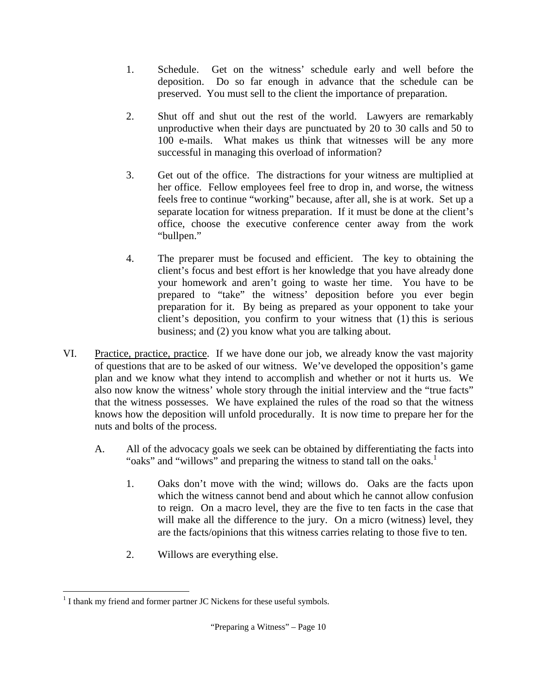- 1. Schedule. Get on the witness' schedule early and well before the deposition. Do so far enough in advance that the schedule can be preserved. You must sell to the client the importance of preparation.
- 2. Shut off and shut out the rest of the world. Lawyers are remarkably unproductive when their days are punctuated by 20 to 30 calls and 50 to 100 e-mails. What makes us think that witnesses will be any more successful in managing this overload of information?
- 3. Get out of the office. The distractions for your witness are multiplied at her office. Fellow employees feel free to drop in, and worse, the witness feels free to continue "working" because, after all, she is at work. Set up a separate location for witness preparation. If it must be done at the client's office, choose the executive conference center away from the work "bullpen."
- 4. The preparer must be focused and efficient. The key to obtaining the client's focus and best effort is her knowledge that you have already done your homework and aren't going to waste her time. You have to be prepared to "take" the witness' deposition before you ever begin preparation for it. By being as prepared as your opponent to take your client's deposition, you confirm to your witness that (1) this is serious business; and (2) you know what you are talking about.
- VI. Practice, practice, practice. If we have done our job, we already know the vast majority of questions that are to be asked of our witness. We've developed the opposition's game plan and we know what they intend to accomplish and whether or not it hurts us. We also now know the witness' whole story through the initial interview and the "true facts" that the witness possesses. We have explained the rules of the road so that the witness knows how the deposition will unfold procedurally. It is now time to prepare her for the nuts and bolts of the process.
	- A. All of the advocacy goals we seek can be obtained by differentiating the facts into "oaks" and "willows" and preparing the witness to stand tall on the oaks.<sup>1</sup>
		- 1. Oaks don't move with the wind; willows do. Oaks are the facts upon which the witness cannot bend and about which he cannot allow confusion to reign. On a macro level, they are the five to ten facts in the case that will make all the difference to the jury. On a micro (witness) level, they are the facts/opinions that this witness carries relating to those five to ten.
		- 2. Willows are everything else.

<sup>1</sup>  $<sup>1</sup>$  I thank my friend and former partner JC Nickens for these useful symbols.</sup>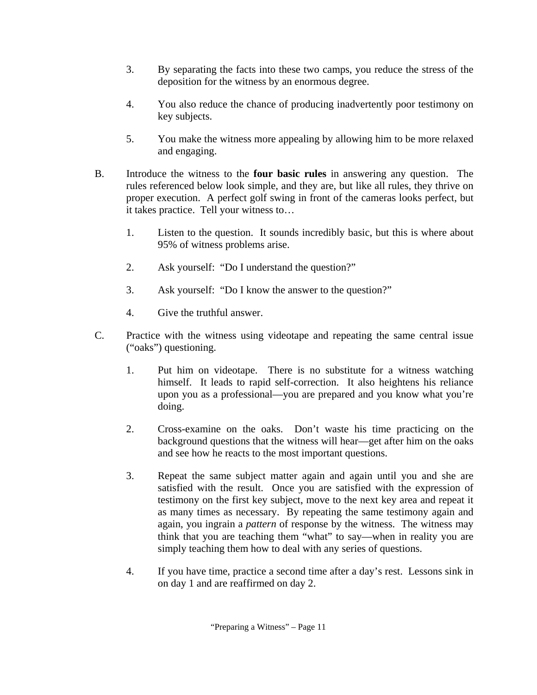- 3. By separating the facts into these two camps, you reduce the stress of the deposition for the witness by an enormous degree.
- 4. You also reduce the chance of producing inadvertently poor testimony on key subjects.
- 5. You make the witness more appealing by allowing him to be more relaxed and engaging.
- B. Introduce the witness to the **four basic rules** in answering any question. The rules referenced below look simple, and they are, but like all rules, they thrive on proper execution. A perfect golf swing in front of the cameras looks perfect, but it takes practice. Tell your witness to…
	- 1. Listen to the question. It sounds incredibly basic, but this is where about 95% of witness problems arise.
	- 2. Ask yourself: "Do I understand the question?"
	- 3. Ask yourself: "Do I know the answer to the question?"
	- 4. Give the truthful answer.
- C. Practice with the witness using videotape and repeating the same central issue ("oaks") questioning.
	- 1. Put him on videotape. There is no substitute for a witness watching himself. It leads to rapid self-correction. It also heightens his reliance upon you as a professional—you are prepared and you know what you're doing.
	- 2. Cross-examine on the oaks. Don't waste his time practicing on the background questions that the witness will hear—get after him on the oaks and see how he reacts to the most important questions.
	- 3. Repeat the same subject matter again and again until you and she are satisfied with the result. Once you are satisfied with the expression of testimony on the first key subject, move to the next key area and repeat it as many times as necessary. By repeating the same testimony again and again, you ingrain a *pattern* of response by the witness. The witness may think that you are teaching them "what" to say—when in reality you are simply teaching them how to deal with any series of questions.
	- 4. If you have time, practice a second time after a day's rest. Lessons sink in on day 1 and are reaffirmed on day 2.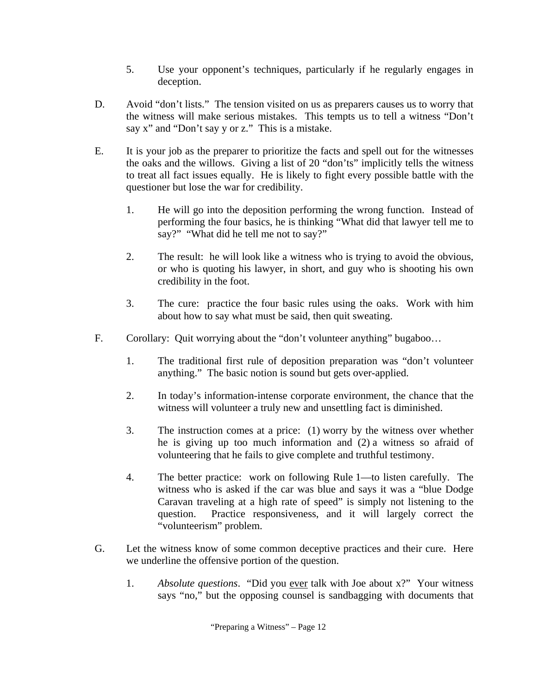- 5. Use your opponent's techniques, particularly if he regularly engages in deception.
- D. Avoid "don't lists." The tension visited on us as preparers causes us to worry that the witness will make serious mistakes. This tempts us to tell a witness "Don't say x" and "Don't say y or z." This is a mistake.
- E. It is your job as the preparer to prioritize the facts and spell out for the witnesses the oaks and the willows. Giving a list of 20 "don'ts" implicitly tells the witness to treat all fact issues equally. He is likely to fight every possible battle with the questioner but lose the war for credibility.
	- 1. He will go into the deposition performing the wrong function. Instead of performing the four basics, he is thinking "What did that lawyer tell me to say?" "What did he tell me not to say?"
	- 2. The result: he will look like a witness who is trying to avoid the obvious, or who is quoting his lawyer, in short, and guy who is shooting his own credibility in the foot.
	- 3. The cure: practice the four basic rules using the oaks. Work with him about how to say what must be said, then quit sweating.
- F. Corollary: Quit worrying about the "don't volunteer anything" bugaboo…
	- 1. The traditional first rule of deposition preparation was "don't volunteer anything." The basic notion is sound but gets over-applied.
	- 2. In today's information-intense corporate environment, the chance that the witness will volunteer a truly new and unsettling fact is diminished.
	- 3. The instruction comes at a price: (1) worry by the witness over whether he is giving up too much information and (2) a witness so afraid of volunteering that he fails to give complete and truthful testimony.
	- 4. The better practice: work on following Rule 1—to listen carefully. The witness who is asked if the car was blue and says it was a "blue Dodge Caravan traveling at a high rate of speed" is simply not listening to the question. Practice responsiveness, and it will largely correct the "volunteerism" problem.
- G. Let the witness know of some common deceptive practices and their cure. Here we underline the offensive portion of the question.
	- 1. *Absolute questions*. "Did you ever talk with Joe about x?" Your witness says "no," but the opposing counsel is sandbagging with documents that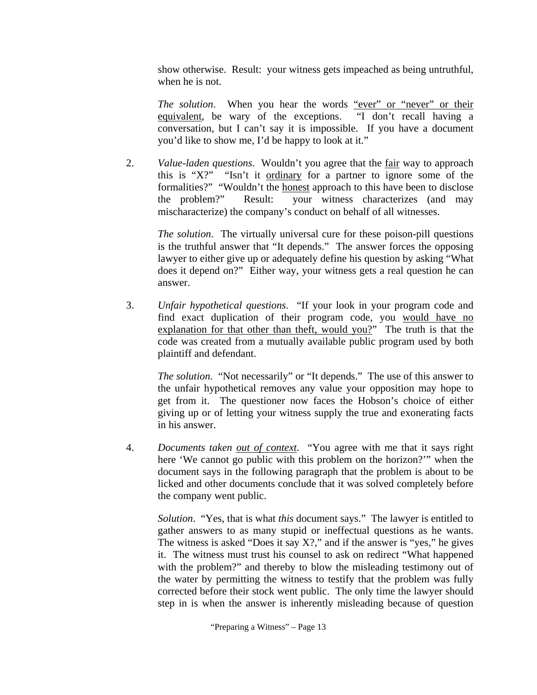show otherwise. Result: your witness gets impeached as being untruthful, when he is not.

*The solution*. When you hear the words "ever" or "never" or their equivalent, be wary of the exceptions. "I don't recall having a conversation, but I can't say it is impossible. If you have a document you'd like to show me, I'd be happy to look at it."

2. *Value-laden questions*. Wouldn't you agree that the fair way to approach this is "X?" "Isn't it ordinary for a partner to ignore some of the formalities?" "Wouldn't the honest approach to this have been to disclose the problem?" Result: your witness characterizes (and may mischaracterize) the company's conduct on behalf of all witnesses.

*The solution*. The virtually universal cure for these poison-pill questions is the truthful answer that "It depends." The answer forces the opposing lawyer to either give up or adequately define his question by asking "What does it depend on?" Either way, your witness gets a real question he can answer.

3. *Unfair hypothetical questions*. "If your look in your program code and find exact duplication of their program code, you would have no explanation for that other than theft, would you?" The truth is that the code was created from a mutually available public program used by both plaintiff and defendant.

*The solution*. "Not necessarily" or "It depends." The use of this answer to the unfair hypothetical removes any value your opposition may hope to get from it. The questioner now faces the Hobson's choice of either giving up or of letting your witness supply the true and exonerating facts in his answer.

4. *Documents taken out of context*. "You agree with me that it says right here 'We cannot go public with this problem on the horizon?'" when the document says in the following paragraph that the problem is about to be licked and other documents conclude that it was solved completely before the company went public.

*Solution*. "Yes, that is what *this* document says." The lawyer is entitled to gather answers to as many stupid or ineffectual questions as he wants. The witness is asked "Does it say  $X$ ?," and if the answer is "yes," he gives it. The witness must trust his counsel to ask on redirect "What happened with the problem?" and thereby to blow the misleading testimony out of the water by permitting the witness to testify that the problem was fully corrected before their stock went public. The only time the lawyer should step in is when the answer is inherently misleading because of question